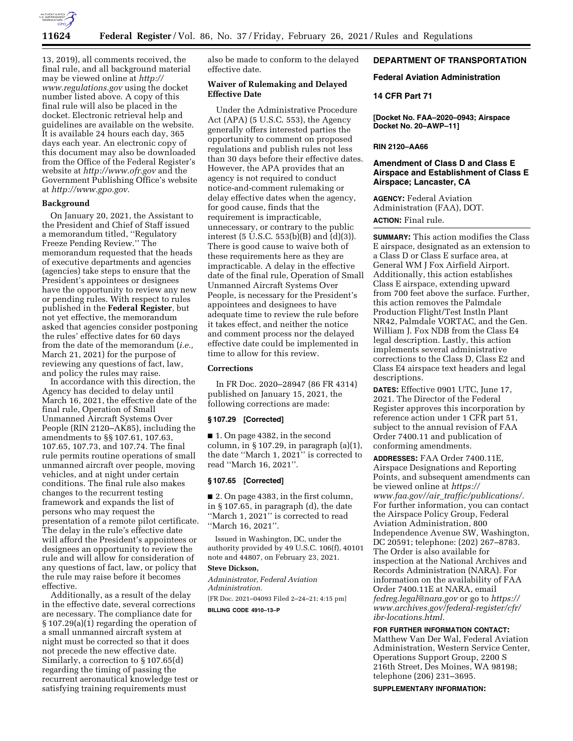

13, 2019), all comments received, the final rule, and all background material may be viewed online at *[http://](http://www.regulations.gov) [www.regulations.gov](http://www.regulations.gov)* using the docket number listed above. A copy of this final rule will also be placed in the docket. Electronic retrieval help and guidelines are available on the website. It is available 24 hours each day, 365 days each year. An electronic copy of this document may also be downloaded from the Office of the Federal Register's website at *<http://www.ofr.gov>*and the Government Publishing Office's website at *[http://www.gpo.gov.](http://www.gpo.gov)* 

### **Background**

On January 20, 2021, the Assistant to the President and Chief of Staff issued a memorandum titled, ''Regulatory Freeze Pending Review.'' The memorandum requested that the heads of executive departments and agencies (agencies) take steps to ensure that the President's appointees or designees have the opportunity to review any new or pending rules. With respect to rules published in the **Federal Register**, but not yet effective, the memorandum asked that agencies consider postponing the rules' effective dates for 60 days from the date of the memorandum (*i.e.,*  March 21, 2021) for the purpose of reviewing any questions of fact, law, and policy the rules may raise.

In accordance with this direction, the Agency has decided to delay until March 16, 2021, the effective date of the final rule, Operation of Small Unmanned Aircraft Systems Over People (RIN 2120–AK85), including the amendments to §§ 107.61, 107.63, 107.65, 107.73, and 107.74. The final rule permits routine operations of small unmanned aircraft over people, moving vehicles, and at night under certain conditions. The final rule also makes changes to the recurrent testing framework and expands the list of persons who may request the presentation of a remote pilot certificate. The delay in the rule's effective date will afford the President's appointees or designees an opportunity to review the rule and will allow for consideration of any questions of fact, law, or policy that the rule may raise before it becomes effective.

Additionally, as a result of the delay in the effective date, several corrections are necessary. The compliance date for § 107.29(a)(1) regarding the operation of a small unmanned aircraft system at night must be corrected so that it does not precede the new effective date. Similarly, a correction to § 107.65(d) regarding the timing of passing the recurrent aeronautical knowledge test or satisfying training requirements must

also be made to conform to the delayed effective date.

# **Waiver of Rulemaking and Delayed Effective Date**

Under the Administrative Procedure Act (APA) (5 U.S.C. 553), the Agency generally offers interested parties the opportunity to comment on proposed regulations and publish rules not less than 30 days before their effective dates. However, the APA provides that an agency is not required to conduct notice-and-comment rulemaking or delay effective dates when the agency, for good cause, finds that the requirement is impracticable, unnecessary, or contrary to the public interest (5 U.S.C. 553(b)(B) and (d)(3)). There is good cause to waive both of these requirements here as they are impracticable. A delay in the effective date of the final rule, Operation of Small Unmanned Aircraft Systems Over People, is necessary for the President's appointees and designees to have adequate time to review the rule before it takes effect, and neither the notice and comment process nor the delayed effective date could be implemented in time to allow for this review.

# **Corrections**

In FR Doc. 2020–28947 (86 FR 4314) published on January 15, 2021, the following corrections are made:

### **§ 107.29 [Corrected]**

■ 1. On page 4382, in the second column, in § 107.29, in paragraph (a)(1), the date ''March 1, 2021'' is corrected to read ''March 16, 2021''.

#### **§ 107.65 [Corrected]**

■ 2. On page 4383, in the first column, in § 107.65, in paragraph (d), the date ''March 1, 2021'' is corrected to read ''March 16, 2021''.

Issued in Washington, DC, under the authority provided by 49 U.S.C. 106(f), 40101 note and 44807, on February 23, 2021.

### **Steve Dickson,**

*Administrator, Federal Aviation Administration.*  [FR Doc. 2021–04093 Filed 2–24–21; 4:15 pm]

**BILLING CODE 4910–13–P** 

# **DEPARTMENT OF TRANSPORTATION**

### **Federal Aviation Administration**

### **14 CFR Part 71**

**[Docket No. FAA–2020–0943; Airspace Docket No. 20–AWP–11]** 

#### **RIN 2120–AA66**

# **Amendment of Class D and Class E Airspace and Establishment of Class E Airspace; Lancaster, CA**

**AGENCY:** Federal Aviation Administration (FAA), DOT.

# **ACTION:** Final rule.

**SUMMARY:** This action modifies the Class E airspace, designated as an extension to a Class D or Class E surface area, at General WM J Fox Airfield Airport. Additionally, this action establishes Class E airspace, extending upward from 700 feet above the surface. Further, this action removes the Palmdale Production Flight/Test Instln Plant NR42, Palmdale VORTAC, and the Gen. William J. Fox NDB from the Class E4 legal description. Lastly, this action implements several administrative corrections to the Class D, Class E2 and Class E4 airspace text headers and legal descriptions.

**DATES:** Effective 0901 UTC, June 17, 2021. The Director of the Federal Register approves this incorporation by reference action under 1 CFR part 51, subject to the annual revision of FAA Order 7400.11 and publication of conforming amendments.

**ADDRESSES:** FAA Order 7400.11E, Airspace Designations and Reporting Points, and subsequent amendments can be viewed online at *[https://](https://www.faa.gov//air_traffic/publications/) www.faa.gov//air*\_*[traffic/publications/.](https://www.faa.gov//air_traffic/publications/)*  For further information, you can contact the Airspace Policy Group, Federal Aviation Administration, 800 Independence Avenue SW, Washington, DC 20591; telephone: (202) 267–8783. The Order is also available for inspection at the National Archives and Records Administration (NARA). For information on the availability of FAA Order 7400.11E at NARA, email *[fedreg.legal@nara.gov](mailto:fedreg.legal@nara.gov)* or go to *[https://](https://www.archives.gov/federal-register/cfr/ibr-locations.html) [www.archives.gov/federal-register/cfr/](https://www.archives.gov/federal-register/cfr/ibr-locations.html)  [ibr-locations.html.](https://www.archives.gov/federal-register/cfr/ibr-locations.html)* 

#### **FOR FURTHER INFORMATION CONTACT:**

Matthew Van Der Wal, Federal Aviation Administration, Western Service Center, Operations Support Group, 2200 S 216th Street, Des Moines, WA 98198; telephone (206) 231–3695.

**SUPPLEMENTARY INFORMATION:**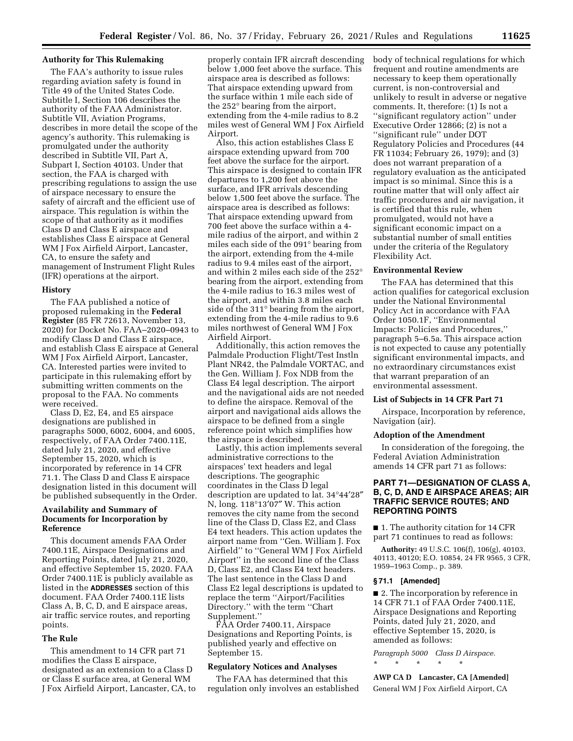# **Authority for This Rulemaking**

The FAA's authority to issue rules regarding aviation safety is found in Title 49 of the United States Code. Subtitle I, Section 106 describes the authority of the FAA Administrator. Subtitle VII, Aviation Programs, describes in more detail the scope of the agency's authority. This rulemaking is promulgated under the authority described in Subtitle VII, Part A, Subpart I, Section 40103. Under that section, the FAA is charged with prescribing regulations to assign the use of airspace necessary to ensure the safety of aircraft and the efficient use of airspace. This regulation is within the scope of that authority as it modifies Class D and Class E airspace and establishes Class E airspace at General WM J Fox Airfield Airport, Lancaster, CA, to ensure the safety and management of Instrument Flight Rules (IFR) operations at the airport.

#### **History**

The FAA published a notice of proposed rulemaking in the **Federal Register** (85 FR 72613, November 13, 2020) for Docket No. FAA–2020–0943 to modify Class D and Class E airspace, and establish Class E airspace at General WM J Fox Airfield Airport, Lancaster, CA. Interested parties were invited to participate in this rulemaking effort by submitting written comments on the proposal to the FAA. No comments were received.

Class D, E2, E4, and E5 airspace designations are published in paragraphs 5000, 6002, 6004, and 6005, respectively, of FAA Order 7400.11E, dated July 21, 2020, and effective September 15, 2020, which is incorporated by reference in 14 CFR 71.1. The Class D and Class E airspace designation listed in this document will be published subsequently in the Order.

### **Availability and Summary of Documents for Incorporation by Reference**

This document amends FAA Order 7400.11E, Airspace Designations and Reporting Points, dated July 21, 2020, and effective September 15, 2020. FAA Order 7400.11E is publicly available as listed in the **ADDRESSES** section of this document. FAA Order 7400.11E lists Class A, B, C, D, and E airspace areas, air traffic service routes, and reporting points.

# **The Rule**

This amendment to 14 CFR part 71 modifies the Class E airspace, designated as an extension to a Class D or Class E surface area, at General WM J Fox Airfield Airport, Lancaster, CA, to

properly contain IFR aircraft descending below 1,000 feet above the surface. This airspace area is described as follows: That airspace extending upward from the surface within 1 mile each side of the 252° bearing from the airport, extending from the 4-mile radius to 8.2 miles west of General WM J Fox Airfield Airport.

Also, this action establishes Class E airspace extending upward from 700 feet above the surface for the airport. This airspace is designed to contain IFR departures to 1,200 feet above the surface, and IFR arrivals descending below 1,500 feet above the surface. The airspace area is described as follows: That airspace extending upward from 700 feet above the surface within a 4 mile radius of the airport, and within 2 miles each side of the 091° bearing from the airport, extending from the 4-mile radius to 9.4 miles east of the airport, and within 2 miles each side of the 252° bearing from the airport, extending from the 4-mile radius to 16.3 miles west of the airport, and within 3.8 miles each side of the 311° bearing from the airport, extending from the 4-mile radius to 9.6 miles northwest of General WM J Fox Airfield Airport.

Additionally, this action removes the Palmdale Production Flight/Test Instln Plant NR42, the Palmdale VORTAC, and the Gen. William J. Fox NDB from the Class E4 legal description. The airport and the navigational aids are not needed to define the airspace. Removal of the airport and navigational aids allows the airspace to be defined from a single reference point which simplifies how the airspace is described.

Lastly, this action implements several administrative corrections to the airspaces' text headers and legal descriptions. The geographic coordinates in the Class D legal description are updated to lat. 34°44′28″ N, long. 118°13′07″ W. This action removes the city name from the second line of the Class D, Class E2, and Class E4 text headers. This action updates the airport name from ''Gen. William J. Fox Airfield'' to ''General WM J Fox Airfield Airport'' in the second line of the Class D, Class E2, and Class E4 text headers. The last sentence in the Class D and Class E2 legal descriptions is updated to replace the term ''Airport/Facilities Directory.'' with the term ''Chart Supplement.''

FAA Order 7400.11, Airspace Designations and Reporting Points, is published yearly and effective on September 15.

# **Regulatory Notices and Analyses**

The FAA has determined that this regulation only involves an established body of technical regulations for which frequent and routine amendments are necessary to keep them operationally current, is non-controversial and unlikely to result in adverse or negative comments. It, therefore: (1) Is not a ''significant regulatory action'' under Executive Order 12866; (2) is not a ''significant rule'' under DOT Regulatory Policies and Procedures (44 FR 11034; February 26, 1979); and (3) does not warrant preparation of a regulatory evaluation as the anticipated impact is so minimal. Since this is a routine matter that will only affect air traffic procedures and air navigation, it is certified that this rule, when promulgated, would not have a significant economic impact on a substantial number of small entities under the criteria of the Regulatory Flexibility Act.

## **Environmental Review**

The FAA has determined that this action qualifies for categorical exclusion under the National Environmental Policy Act in accordance with FAA Order 1050.1F, ''Environmental Impacts: Policies and Procedures,'' paragraph 5–6.5a. This airspace action is not expected to cause any potentially significant environmental impacts, and no extraordinary circumstances exist that warrant preparation of an environmental assessment.

# **List of Subjects in 14 CFR Part 71**

Airspace, Incorporation by reference, Navigation (air).

#### **Adoption of the Amendment**

In consideration of the foregoing, the Federal Aviation Administration amends 14 CFR part 71 as follows:

# **PART 71—DESIGNATION OF CLASS A, B, C, D, AND E AIRSPACE AREAS; AIR TRAFFIC SERVICE ROUTES; AND REPORTING POINTS**

■ 1. The authority citation for 14 CFR part 71 continues to read as follows:

**Authority:** 49 U.S.C. 106(f), 106(g), 40103, 40113, 40120; E.O. 10854, 24 FR 9565, 3 CFR, 1959–1963 Comp., p. 389.

### **§ 71.1 [Amended]**

■ 2. The incorporation by reference in 14 CFR 71.1 of FAA Order 7400.11E, Airspace Designations and Reporting Points, dated July 21, 2020, and effective September 15, 2020, is amended as follows:

*Paragraph 5000 Class D Airspace.*  \* \* \* \* \*

**AWP CA D Lancaster, CA [Amended]**  General WM J Fox Airfield Airport, CA